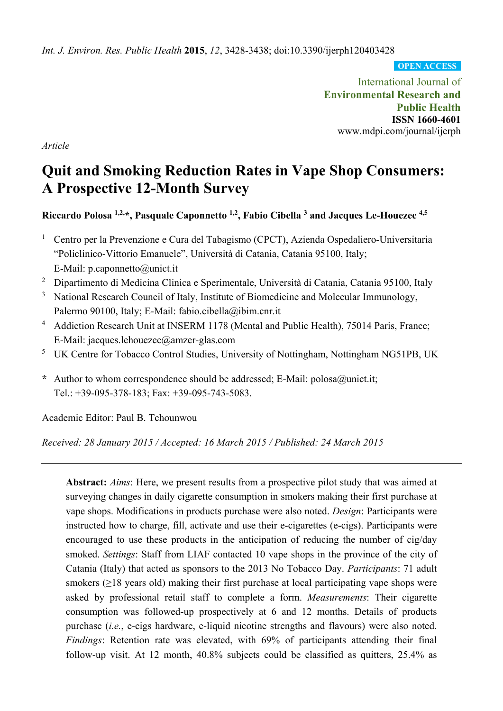*Int. J. Environ. Res. Public Health* **2015**, *12*, 3428-3438; doi:10.3390/ijerph120403428

**OPEN ACCESS**

International Journal of **Environmental Research and Public Health ISSN 1660-4601**  www.mdpi.com/journal/ijerph

*Article* 

# **Quit and Smoking Reduction Rates in Vape Shop Consumers: A Prospective 12-Month Survey**

**Riccardo Polosa 1,2,\*, Pasquale Caponnetto 1,2, Fabio Cibella 3 and Jacques Le-Houezec 4,5** 

- 1 Centro per la Prevenzione e Cura del Tabagismo (CPCT), Azienda Ospedaliero-Universitaria "Policlinico-Vittorio Emanuele", Università di Catania, Catania 95100, Italy; E-Mail: p.caponnetto@unict.it
- 2 Dipartimento di Medicina Clinica e Sperimentale, Università di Catania, Catania 95100, Italy
- <sup>3</sup> National Research Council of Italy, Institute of Biomedicine and Molecular Immunology, Palermo 90100, Italy; E-Mail: fabio.cibella@ibim.cnr.it
- <sup>4</sup> Addiction Research Unit at INSERM 1178 (Mental and Public Health), 75014 Paris, France; E-Mail: jacques.lehouezec@amzer-glas.com
- <sup>5</sup> UK Centre for Tobacco Control Studies, University of Nottingham, Nottingham NG51PB, UK
- **\*** Author to whom correspondence should be addressed; E-Mail: polosa@unict.it; Tel.: +39-095-378-183; Fax: +39-095-743-5083.

Academic Editor: Paul B. Tchounwou

*Received: 28 January 2015 / Accepted: 16 March 2015 / Published: 24 March 2015*

**Abstract:** *Aims*: Here, we present results from a prospective pilot study that was aimed at surveying changes in daily cigarette consumption in smokers making their first purchase at vape shops. Modifications in products purchase were also noted. *Design*: Participants were instructed how to charge, fill, activate and use their e-cigarettes (e-cigs). Participants were encouraged to use these products in the anticipation of reducing the number of cig/day smoked. *Settings*: Staff from LIAF contacted 10 vape shops in the province of the city of Catania (Italy) that acted as sponsors to the 2013 No Tobacco Day. *Participants*: 71 adult smokers ( $\geq$ 18 years old) making their first purchase at local participating vape shops were asked by professional retail staff to complete a form. *Measurements*: Their cigarette consumption was followed-up prospectively at 6 and 12 months. Details of products purchase (*i.e.*, e-cigs hardware, e-liquid nicotine strengths and flavours) were also noted. *Findings*: Retention rate was elevated, with 69% of participants attending their final follow-up visit. At 12 month, 40.8% subjects could be classified as quitters, 25.4% as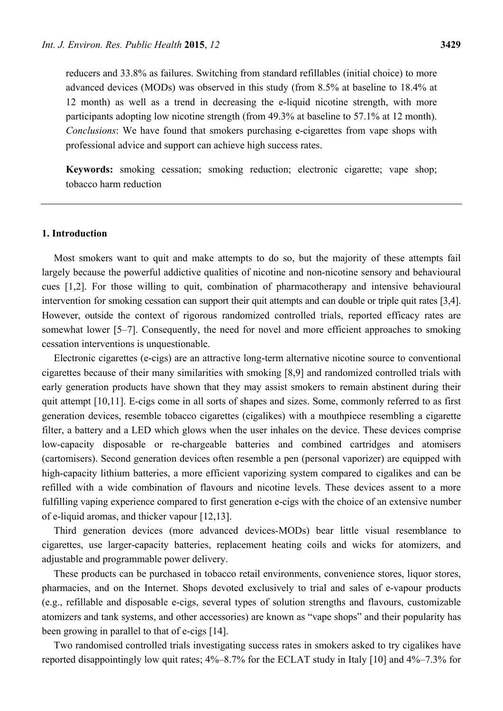reducers and 33.8% as failures. Switching from standard refillables (initial choice) to more advanced devices (MODs) was observed in this study (from 8.5% at baseline to 18.4% at 12 month) as well as a trend in decreasing the e-liquid nicotine strength, with more participants adopting low nicotine strength (from 49.3% at baseline to 57.1% at 12 month). *Conclusions*: We have found that smokers purchasing e-cigarettes from vape shops with professional advice and support can achieve high success rates.

**Keywords:** smoking cessation; smoking reduction; electronic cigarette; vape shop; tobacco harm reduction

# **1. Introduction**

Most smokers want to quit and make attempts to do so, but the majority of these attempts fail largely because the powerful addictive qualities of nicotine and non-nicotine sensory and behavioural cues [1,2]. For those willing to quit, combination of pharmacotherapy and intensive behavioural intervention for smoking cessation can support their quit attempts and can double or triple quit rates [3,4]. However, outside the context of rigorous randomized controlled trials, reported efficacy rates are somewhat lower [5–7]. Consequently, the need for novel and more efficient approaches to smoking cessation interventions is unquestionable.

Electronic cigarettes (e-cigs) are an attractive long-term alternative nicotine source to conventional cigarettes because of their many similarities with smoking [8,9] and randomized controlled trials with early generation products have shown that they may assist smokers to remain abstinent during their quit attempt [10,11]. E-cigs come in all sorts of shapes and sizes. Some, commonly referred to as first generation devices, resemble tobacco cigarettes (cigalikes) with a mouthpiece resembling a cigarette filter, a battery and a LED which glows when the user inhales on the device. These devices comprise low-capacity disposable or re-chargeable batteries and combined cartridges and atomisers (cartomisers). Second generation devices often resemble a pen (personal vaporizer) are equipped with high-capacity lithium batteries, a more efficient vaporizing system compared to cigalikes and can be refilled with a wide combination of flavours and nicotine levels. These devices assent to a more fulfilling vaping experience compared to first generation e-cigs with the choice of an extensive number of e-liquid aromas, and thicker vapour [12,13].

Third generation devices (more advanced devices-MODs) bear little visual resemblance to cigarettes, use larger-capacity batteries, replacement heating coils and wicks for atomizers, and adjustable and programmable power delivery.

These products can be purchased in tobacco retail environments, convenience stores, liquor stores, pharmacies, and on the Internet. Shops devoted exclusively to trial and sales of e-vapour products (e.g., refillable and disposable e-cigs, several types of solution strengths and flavours, customizable atomizers and tank systems, and other accessories) are known as "vape shops" and their popularity has been growing in parallel to that of e-cigs [14].

Two randomised controlled trials investigating success rates in smokers asked to try cigalikes have reported disappointingly low quit rates; 4%–8.7% for the ECLAT study in Italy [10] and 4%–7.3% for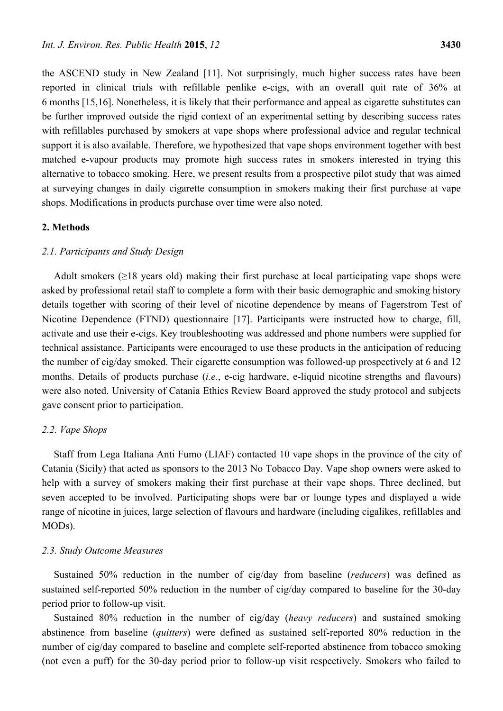the ASCEND study in New Zealand [11]. Not surprisingly, much higher success rates have been reported in clinical trials with refillable penlike e-cigs, with an overall quit rate of 36% at 6 months [15,16]. Nonetheless, it is likely that their performance and appeal as cigarette substitutes can be further improved outside the rigid context of an experimental setting by describing success rates with refillables purchased by smokers at vape shops where professional advice and regular technical support it is also available. Therefore, we hypothesized that vape shops environment together with best matched e-vapour products may promote high success rates in smokers interested in trying this alternative to tobacco smoking. Here, we present results from a prospective pilot study that was aimed at surveying changes in daily cigarette consumption in smokers making their first purchase at vape shops. Modifications in products purchase over time were also noted.

#### **2. Methods**

## *2.1. Participants and Study Design*

Adult smokers ( $\geq$ 18 years old) making their first purchase at local participating vape shops were asked by professional retail staff to complete a form with their basic demographic and smoking history details together with scoring of their level of nicotine dependence by means of Fagerstrom Test of Nicotine Dependence (FTND) questionnaire [17]. Participants were instructed how to charge, fill, activate and use their e-cigs. Key troubleshooting was addressed and phone numbers were supplied for technical assistance. Participants were encouraged to use these products in the anticipation of reducing the number of cig/day smoked. Their cigarette consumption was followed-up prospectively at 6 and 12 months. Details of products purchase (*i.e.*, e-cig hardware, e-liquid nicotine strengths and flavours) were also noted. University of Catania Ethics Review Board approved the study protocol and subjects gave consent prior to participation.

#### *2.2. Vape Shops*

Staff from Lega Italiana Anti Fumo (LIAF) contacted 10 vape shops in the province of the city of Catania (Sicily) that acted as sponsors to the 2013 No Tobacco Day. Vape shop owners were asked to help with a survey of smokers making their first purchase at their vape shops. Three declined, but seven accepted to be involved. Participating shops were bar or lounge types and displayed a wide range of nicotine in juices, large selection of flavours and hardware (including cigalikes, refillables and MODs).

#### *2.3. Study Outcome Measures*

Sustained 50% reduction in the number of cig/day from baseline (*reducers*) was defined as sustained self-reported 50% reduction in the number of cig/day compared to baseline for the 30-day period prior to follow-up visit.

Sustained 80% reduction in the number of cig/day (*heavy reducers*) and sustained smoking abstinence from baseline (*quitters*) were defined as sustained self-reported 80% reduction in the number of cig/day compared to baseline and complete self-reported abstinence from tobacco smoking (not even a puff) for the 30-day period prior to follow-up visit respectively. Smokers who failed to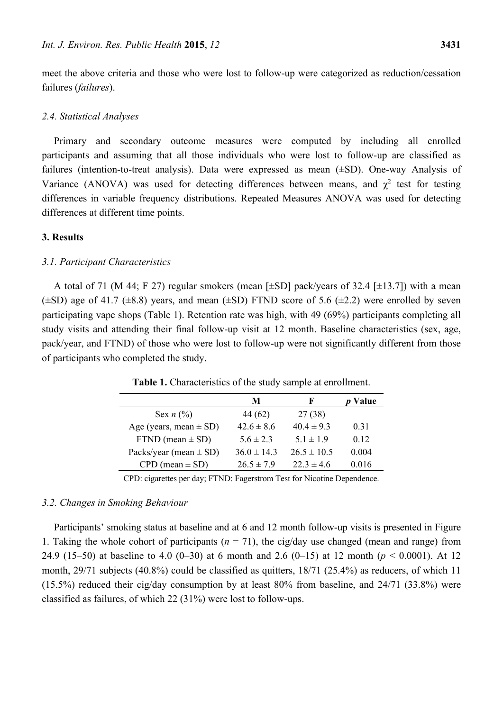meet the above criteria and those who were lost to follow-up were categorized as reduction/cessation failures (*failures*).

# *2.4. Statistical Analyses*

Primary and secondary outcome measures were computed by including all enrolled participants and assuming that all those individuals who were lost to follow-up are classified as failures (intention-to-treat analysis). Data were expressed as mean (±SD). One-way Analysis of Variance (ANOVA) was used for detecting differences between means, and  $\chi^2$  test for testing differences in variable frequency distributions. Repeated Measures ANOVA was used for detecting differences at different time points.

# **3. Results**

# *3.1. Participant Characteristics*

A total of 71 (M 44; F 27) regular smokers (mean  $[\pm SD]$  pack/years of 32.4  $[\pm 13.7]$ ) with a mean  $(\pm SD)$  age of 41.7 ( $\pm 8.8$ ) years, and mean ( $\pm SD$ ) FTND score of 5.6 ( $\pm 2.2$ ) were enrolled by seven participating vape shops (Table 1). Retention rate was high, with 49 (69%) participants completing all study visits and attending their final follow-up visit at 12 month. Baseline characteristics (sex, age, pack/year, and FTND) of those who were lost to follow-up were not significantly different from those of participants who completed the study.

|                            | М               | F               | Value |
|----------------------------|-----------------|-----------------|-------|
| Sex $n$ $(\%)$             | 44 (62)         | 27 (38)         |       |
| Age (years, mean $\pm$ SD) | $42.6 \pm 8.6$  | $40.4 \pm 9.3$  | 0.31  |
| $FTND$ (mean $\pm$ SD)     | $56 \pm 23$     | $51 \pm 19$     | 0.12  |
| Packs/year (mean $\pm$ SD) | $36.0 \pm 14.3$ | $26.5 \pm 10.5$ | 0.004 |
| $CPD$ (mean $\pm$ SD)      | $26.5 \pm 7.9$  | $22.3 \pm 4.6$  | 0.016 |

**Table 1.** Characteristics of the study sample at enrollment.

CPD: cigarettes per day; FTND: Fagerstrom Test for Nicotine Dependence.

## *3.2. Changes in Smoking Behaviour*

Participants' smoking status at baseline and at 6 and 12 month follow-up visits is presented in Figure 1. Taking the whole cohort of participants  $(n = 71)$ , the cig/day use changed (mean and range) from 24.9 (15–50) at baseline to 4.0 (0–30) at 6 month and 2.6 (0–15) at 12 month (*p* < 0.0001). At 12 month, 29/71 subjects (40.8%) could be classified as quitters, 18/71 (25.4%) as reducers, of which 11 (15.5%) reduced their cig/day consumption by at least 80% from baseline, and 24/71 (33.8%) were classified as failures, of which 22 (31%) were lost to follow-ups.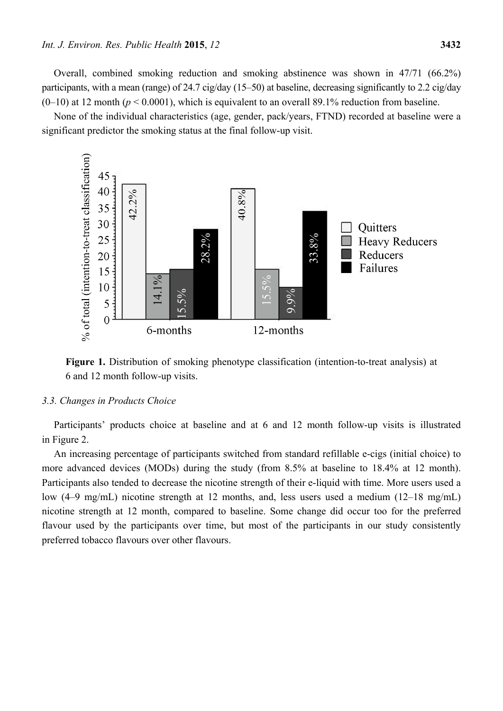Overall, combined smoking reduction and smoking abstinence was shown in 47/71 (66.2%) participants, with a mean (range) of 24.7 cig/day (15–50) at baseline, decreasing significantly to 2.2 cig/day  $(0-10)$  at 12 month ( $p < 0.0001$ ), which is equivalent to an overall 89.1% reduction from baseline.

None of the individual characteristics (age, gender, pack/years, FTND) recorded at baseline were a significant predictor the smoking status at the final follow-up visit.



**Figure 1.** Distribution of smoking phenotype classification (intention-to-treat analysis) at 6 and 12 month follow-up visits.

#### *3.3. Changes in Products Choice*

Participants' products choice at baseline and at 6 and 12 month follow-up visits is illustrated in Figure 2.

An increasing percentage of participants switched from standard refillable e-cigs (initial choice) to more advanced devices (MODs) during the study (from 8.5% at baseline to 18.4% at 12 month). Participants also tended to decrease the nicotine strength of their e-liquid with time. More users used a low (4–9 mg/mL) nicotine strength at 12 months, and, less users used a medium (12–18 mg/mL) nicotine strength at 12 month, compared to baseline. Some change did occur too for the preferred flavour used by the participants over time, but most of the participants in our study consistently preferred tobacco flavours over other flavours.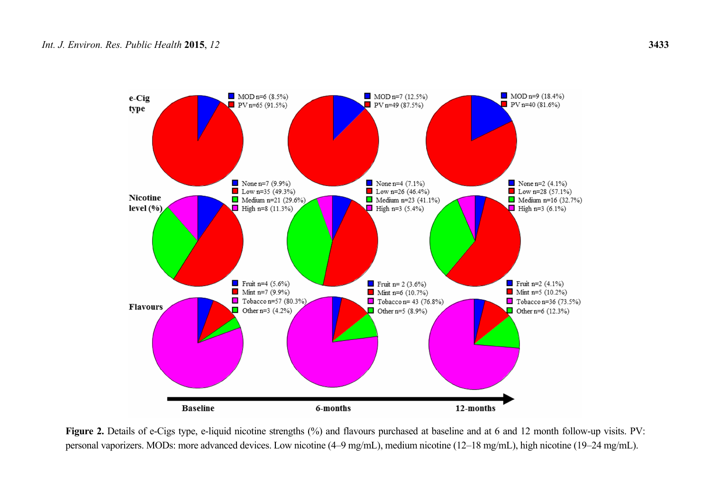

Figure 2. Details of e-Cigs type, e-liquid nicotine strengths (%) and flavours purchased at baseline and at 6 and 12 month follow-up visits. PV: personal vaporizers. MODs: more advanced devices. Low nicotine (4–9 mg/mL), medium nicotine (12–18 mg/mL), high nicotine (19–24 mg/mL).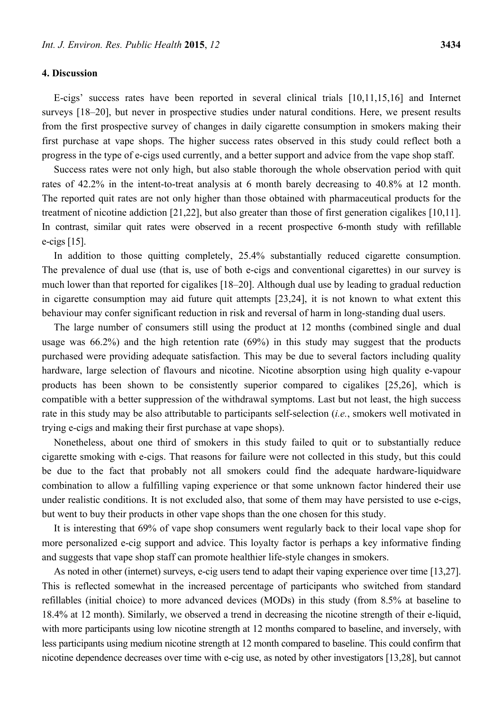# **4. Discussion**

E-cigs' success rates have been reported in several clinical trials [10,11,15,16] and Internet surveys [18–20], but never in prospective studies under natural conditions. Here, we present results from the first prospective survey of changes in daily cigarette consumption in smokers making their first purchase at vape shops. The higher success rates observed in this study could reflect both a progress in the type of e-cigs used currently, and a better support and advice from the vape shop staff.

Success rates were not only high, but also stable thorough the whole observation period with quit rates of 42.2% in the intent-to-treat analysis at 6 month barely decreasing to 40.8% at 12 month. The reported quit rates are not only higher than those obtained with pharmaceutical products for the treatment of nicotine addiction [21,22], but also greater than those of first generation cigalikes [10,11]. In contrast, similar quit rates were observed in a recent prospective 6-month study with refillable e-cigs [15].

In addition to those quitting completely, 25.4% substantially reduced cigarette consumption. The prevalence of dual use (that is, use of both e-cigs and conventional cigarettes) in our survey is much lower than that reported for cigalikes [18–20]. Although dual use by leading to gradual reduction in cigarette consumption may aid future quit attempts [23,24], it is not known to what extent this behaviour may confer significant reduction in risk and reversal of harm in long-standing dual users.

The large number of consumers still using the product at 12 months (combined single and dual usage was 66.2%) and the high retention rate (69%) in this study may suggest that the products purchased were providing adequate satisfaction. This may be due to several factors including quality hardware, large selection of flavours and nicotine. Nicotine absorption using high quality e-vapour products has been shown to be consistently superior compared to cigalikes [25,26], which is compatible with a better suppression of the withdrawal symptoms. Last but not least, the high success rate in this study may be also attributable to participants self-selection (*i.e.*, smokers well motivated in trying e-cigs and making their first purchase at vape shops).

Nonetheless, about one third of smokers in this study failed to quit or to substantially reduce cigarette smoking with e-cigs. That reasons for failure were not collected in this study, but this could be due to the fact that probably not all smokers could find the adequate hardware-liquidware combination to allow a fulfilling vaping experience or that some unknown factor hindered their use under realistic conditions. It is not excluded also, that some of them may have persisted to use e-cigs, but went to buy their products in other vape shops than the one chosen for this study.

It is interesting that 69% of vape shop consumers went regularly back to their local vape shop for more personalized e-cig support and advice. This loyalty factor is perhaps a key informative finding and suggests that vape shop staff can promote healthier life-style changes in smokers.

As noted in other (internet) surveys, e-cig users tend to adapt their vaping experience over time [13,27]. This is reflected somewhat in the increased percentage of participants who switched from standard refillables (initial choice) to more advanced devices (MODs) in this study (from 8.5% at baseline to 18.4% at 12 month). Similarly, we observed a trend in decreasing the nicotine strength of their e-liquid, with more participants using low nicotine strength at 12 months compared to baseline, and inversely, with less participants using medium nicotine strength at 12 month compared to baseline. This could confirm that nicotine dependence decreases over time with e-cig use, as noted by other investigators [13,28], but cannot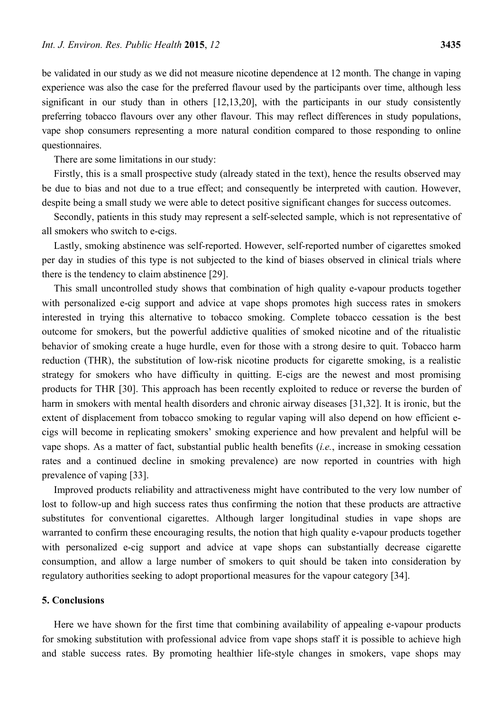be validated in our study as we did not measure nicotine dependence at 12 month. The change in vaping experience was also the case for the preferred flavour used by the participants over time, although less significant in our study than in others [12,13,20], with the participants in our study consistently preferring tobacco flavours over any other flavour. This may reflect differences in study populations, vape shop consumers representing a more natural condition compared to those responding to online questionnaires.

There are some limitations in our study:

Firstly, this is a small prospective study (already stated in the text), hence the results observed may be due to bias and not due to a true effect; and consequently be interpreted with caution. However, despite being a small study we were able to detect positive significant changes for success outcomes.

Secondly, patients in this study may represent a self-selected sample, which is not representative of all smokers who switch to e-cigs.

Lastly, smoking abstinence was self-reported. However, self-reported number of cigarettes smoked per day in studies of this type is not subjected to the kind of biases observed in clinical trials where there is the tendency to claim abstinence [29].

This small uncontrolled study shows that combination of high quality e-vapour products together with personalized e-cig support and advice at vape shops promotes high success rates in smokers interested in trying this alternative to tobacco smoking. Complete tobacco cessation is the best outcome for smokers, but the powerful addictive qualities of smoked nicotine and of the ritualistic behavior of smoking create a huge hurdle, even for those with a strong desire to quit. Tobacco harm reduction (THR), the substitution of low-risk nicotine products for cigarette smoking, is a realistic strategy for smokers who have difficulty in quitting. E-cigs are the newest and most promising products for THR [30]. This approach has been recently exploited to reduce or reverse the burden of harm in smokers with mental health disorders and chronic airway diseases [31,32]. It is ironic, but the extent of displacement from tobacco smoking to regular vaping will also depend on how efficient ecigs will become in replicating smokers' smoking experience and how prevalent and helpful will be vape shops. As a matter of fact, substantial public health benefits (*i.e.*, increase in smoking cessation rates and a continued decline in smoking prevalence) are now reported in countries with high prevalence of vaping [33].

Improved products reliability and attractiveness might have contributed to the very low number of lost to follow-up and high success rates thus confirming the notion that these products are attractive substitutes for conventional cigarettes. Although larger longitudinal studies in vape shops are warranted to confirm these encouraging results, the notion that high quality e-vapour products together with personalized e-cig support and advice at vape shops can substantially decrease cigarette consumption, and allow a large number of smokers to quit should be taken into consideration by regulatory authorities seeking to adopt proportional measures for the vapour category [34].

## **5. Conclusions**

Here we have shown for the first time that combining availability of appealing e-vapour products for smoking substitution with professional advice from vape shops staff it is possible to achieve high and stable success rates. By promoting healthier life-style changes in smokers, vape shops may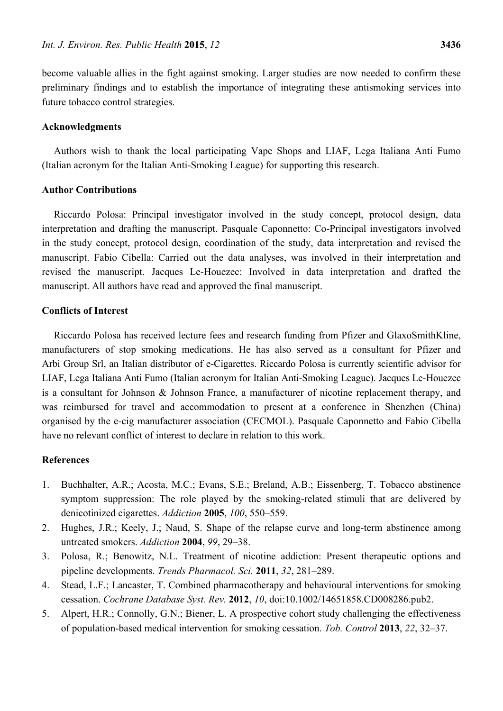become valuable allies in the fight against smoking. Larger studies are now needed to confirm these preliminary findings and to establish the importance of integrating these antismoking services into future tobacco control strategies.

## **Acknowledgments**

Authors wish to thank the local participating Vape Shops and LIAF, Lega Italiana Anti Fumo (Italian acronym for the Italian Anti-Smoking League) for supporting this research.

# **Author Contributions**

Riccardo Polosa: Principal investigator involved in the study concept, protocol design, data interpretation and drafting the manuscript. Pasquale Caponnetto: Co-Principal investigators involved in the study concept, protocol design, coordination of the study, data interpretation and revised the manuscript. Fabio Cibella: Carried out the data analyses, was involved in their interpretation and revised the manuscript. Jacques Le-Houezec: Involved in data interpretation and drafted the manuscript. All authors have read and approved the final manuscript.

# **Conflicts of Interest**

Riccardo Polosa has received lecture fees and research funding from Pfizer and GlaxoSmithKline, manufacturers of stop smoking medications. He has also served as a consultant for Pfizer and Arbi Group Srl, an Italian distributor of e-Cigarettes. Riccardo Polosa is currently scientific advisor for LIAF, Lega Italiana Anti Fumo (Italian acronym for Italian Anti-Smoking League). Jacques Le-Houezec is a consultant for Johnson & Johnson France, a manufacturer of nicotine replacement therapy, and was reimbursed for travel and accommodation to present at a conference in Shenzhen (China) organised by the e-cig manufacturer association (CECMOL). Pasquale Caponnetto and Fabio Cibella have no relevant conflict of interest to declare in relation to this work.

# **References**

- 1. Buchhalter, A.R.; Acosta, M.C.; Evans, S.E.; Breland, A.B.; Eissenberg, T. Tobacco abstinence symptom suppression: The role played by the smoking-related stimuli that are delivered by denicotinized cigarettes. *Addiction* **2005**, *100*, 550–559.
- 2. Hughes, J.R.; Keely, J.; Naud, S. Shape of the relapse curve and long-term abstinence among untreated smokers. *Addiction* **2004**, *99*, 29–38.
- 3. Polosa, R.; Benowitz, N.L. Treatment of nicotine addiction: Present therapeutic options and pipeline developments. *Trends Pharmacol. Sci.* **2011**, *32*, 281–289.
- 4. Stead, L.F.; Lancaster, T. Combined pharmacotherapy and behavioural interventions for smoking cessation. *Cochrane Database Syst. Rev.* **2012**, *10*, doi:10.1002/14651858.CD008286.pub2.
- 5. Alpert, H.R.; Connolly, G.N.; Biener, L. A prospective cohort study challenging the effectiveness of population-based medical intervention for smoking cessation. *Tob. Control* **2013**, *22*, 32–37.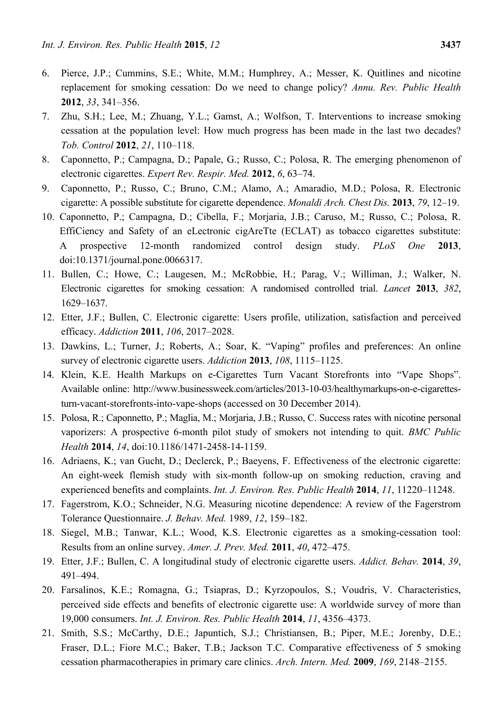- 6. Pierce, J.P.; Cummins, S.E.; White, M.M.; Humphrey, A.; Messer, K. Quitlines and nicotine replacement for smoking cessation: Do we need to change policy? *Annu. Rev. Public Health* **2012**, *33*, 341–356.
- 7. Zhu, S.H.; Lee, M.; Zhuang, Y.L.; Gamst, A.; Wolfson, T. Interventions to increase smoking cessation at the population level: How much progress has been made in the last two decades? *Tob. Control* **2012**, *21*, 110–118.
- 8. Caponnetto, P.; Campagna, D.; Papale, G.; Russo, C.; Polosa, R. The emerging phenomenon of electronic cigarettes. *Expert Rev. Respir. Med.* **2012**, *6*, 63–74.
- 9. Caponnetto, P.; Russo, C.; Bruno, C.M.; Alamo, A.; Amaradio, M.D.; Polosa, R. Electronic cigarette: A possible substitute for cigarette dependence. *Monaldi Arch. Chest Dis.* **2013**, *79*, 12–19.
- 10. Caponnetto, P.; Campagna, D.; Cibella, F.; Morjaria, J.B.; Caruso, M.; Russo, C.; Polosa, R. EffiCiency and Safety of an eLectronic cigAreTte (ECLAT) as tobacco cigarettes substitute: A prospective 12-month randomized control design study. *PLoS One* **2013**, doi:10.1371/journal.pone.0066317.
- 11. Bullen, C.; Howe, C.; Laugesen, M.; McRobbie, H.; Parag, V.; Williman, J.; Walker, N. Electronic cigarettes for smoking cessation: A randomised controlled trial. *Lancet* **2013**, *382*, 1629–1637.
- 12. Etter, J.F.; Bullen, C. Electronic cigarette: Users profile, utilization, satisfaction and perceived efficacy. *Addiction* **2011**, *106*, 2017–2028.
- 13. Dawkins, L.; Turner, J.; Roberts, A.; Soar, K. "Vaping" profiles and preferences: An online survey of electronic cigarette users. *Addiction* **2013**, *108*, 1115–1125.
- 14. Klein, K.E. Health Markups on e-Cigarettes Turn Vacant Storefronts into "Vape Shops". Available online: http://www.businessweek.com/articles/2013-10-03/healthymarkups-on-e-cigarettesturn-vacant-storefronts-into-vape-shops (accessed on 30 December 2014).
- 15. Polosa, R.; Caponnetto, P.; Maglia, M.; Morjaria, J.B.; Russo, C. Success rates with nicotine personal vaporizers: A prospective 6-month pilot study of smokers not intending to quit. *BMC Public Health* **2014**, *14*, doi:10.1186/1471-2458-14-1159.
- 16. Adriaens, K.; van Gucht, D.; Declerck, P.; Baeyens, F. Effectiveness of the electronic cigarette: An eight-week flemish study with six-month follow-up on smoking reduction, craving and experienced benefits and complaints. *Int. J. Environ. Res. Public Health* **2014**, *11*, 11220–11248.
- 17. Fagerstrom, K.O.; Schneider, N.G. Measuring nicotine dependence: A review of the Fagerstrom Tolerance Questionnaire. *J. Behav. Med.* 1989, *12*, 159–182.
- 18. Siegel, M.B.; Tanwar, K.L.; Wood, K.S. Electronic cigarettes as a smoking-cessation tool: Results from an online survey. *Amer. J. Prev. Med.* **2011**, *40*, 472–475.
- 19. Etter, J.F.; Bullen, C. A longitudinal study of electronic cigarette users. *Addict. Behav.* **2014**, *39*, 491–494.
- 20. Farsalinos, K.E.; Romagna, G.; Tsiapras, D.; Kyrzopoulos, S.; Voudris, V. Characteristics, perceived side effects and benefits of electronic cigarette use: A worldwide survey of more than 19,000 consumers. *Int. J. Environ. Res. Public Health* **2014**, *11*, 4356–4373.
- 21. Smith, S.S.; McCarthy, D.E.; Japuntich, S.J.; Christiansen, B.; Piper, M.E.; Jorenby, D.E.; Fraser, D.L.; Fiore M.C.; Baker, T.B.; Jackson T.C. Comparative effectiveness of 5 smoking cessation pharmacotherapies in primary care clinics. *Arch. Intern. Med.* **2009**, *169*, 2148–2155.